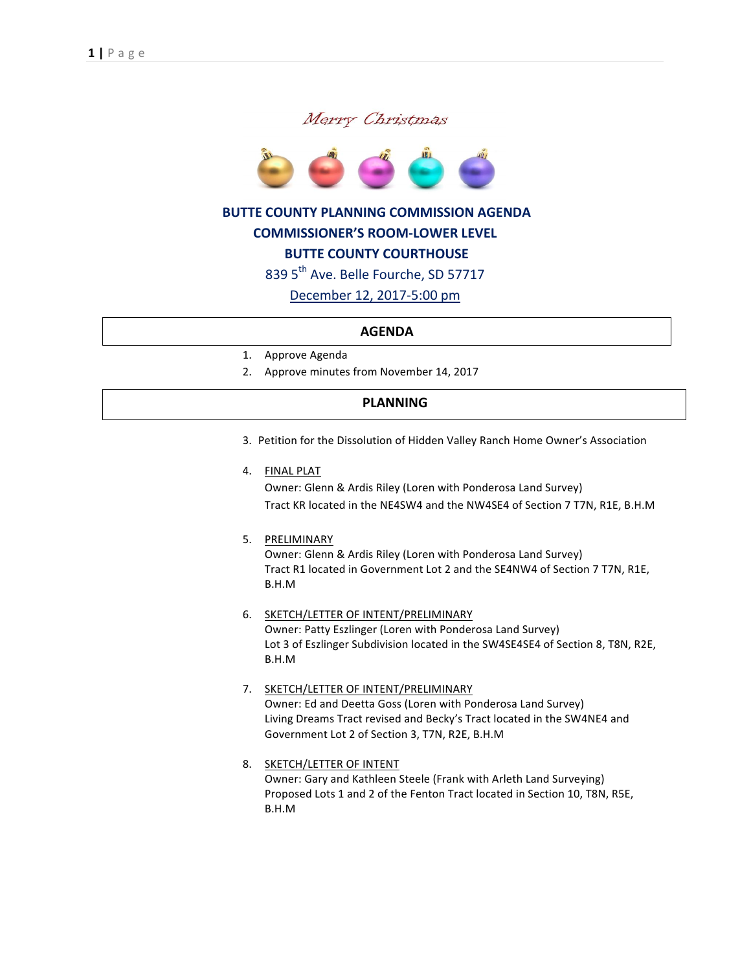



## **BUTTE COUNTY PLANNING COMMISSION AGENDA**

#### **COMMISSIONER'S ROOM-LOWER LEVEL**

# **BUTTE COUNTY COURTHOUSE**

839 5<sup>th</sup> Ave. Belle Fourche, SD 57717

December 12, 2017-5:00 pm

#### **AGENDA**

- 1. Approve Agenda
- 2. Approve minutes from November 14, 2017

## **PLANNING**

- 3. Petition for the Dissolution of Hidden Valley Ranch Home Owner's Association
- 4. FINAL PLAT

Owner: Glenn & Ardis Riley (Loren with Ponderosa Land Survey) Tract KR located in the NE4SW4 and the NW4SE4 of Section 7 T7N, R1E, B.H.M

5. PRELIMINARY

Owner: Glenn & Ardis Riley (Loren with Ponderosa Land Survey) Tract R1 located in Government Lot 2 and the SE4NW4 of Section 7 T7N, R1E, B.H.M

#### 6. SKETCH/LETTER OF INTENT/PRELIMINARY Owner: Patty Eszlinger (Loren with Ponderosa Land Survey) Lot 3 of Eszlinger Subdivision located in the SW4SE4SE4 of Section 8, T8N, R2E, B.H.M

## 7. SKETCH/LETTER OF INTENT/PRELIMINARY Owner: Ed and Deetta Goss (Loren with Ponderosa Land Survey) Living Dreams Tract revised and Becky's Tract located in the SW4NE4 and Government Lot 2 of Section 3, T7N, R2E, B.H.M

8. SKETCH/LETTER OF INTENT Owner: Gary and Kathleen Steele (Frank with Arleth Land Surveying) Proposed Lots 1 and 2 of the Fenton Tract located in Section 10, T8N, R5E, B.H.M